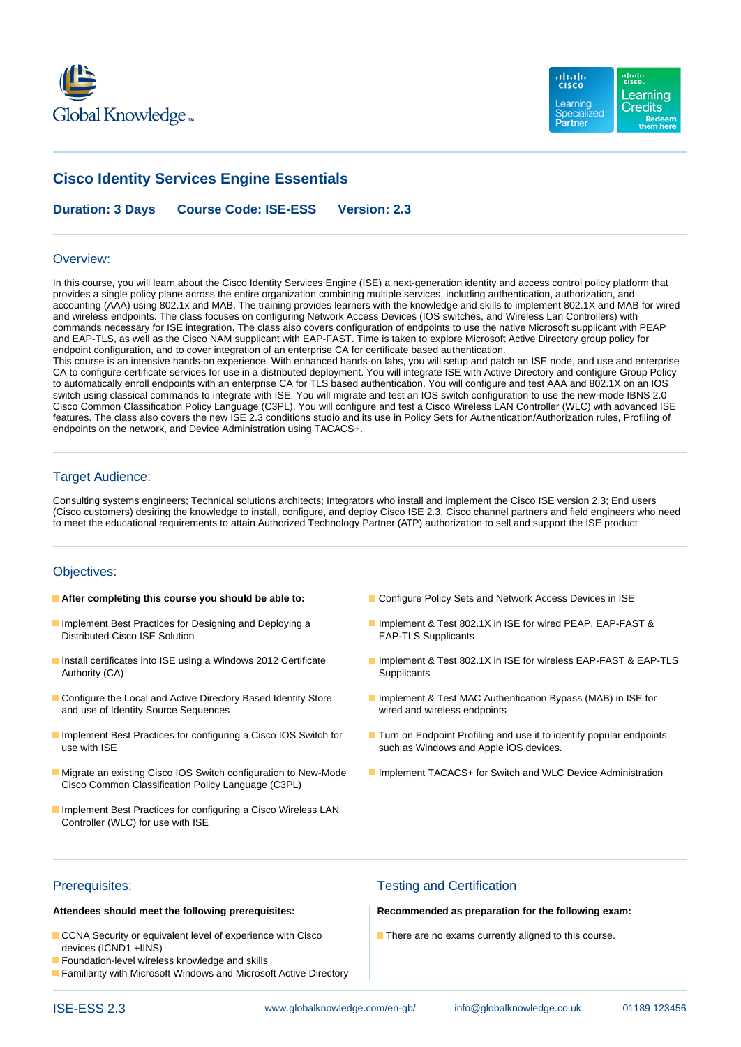



# **Cisco Identity Services Engine Essentials**

**Duration: 3 Days Course Code: ISE-ESS Version: 2.3**

### Overview:

In this course, you will learn about the Cisco Identity Services Engine (ISE) a next-generation identity and access control policy platform that provides a single policy plane across the entire organization combining multiple services, including authentication, authorization, and accounting (AAA) using 802.1x and MAB. The training provides learners with the knowledge and skills to implement 802.1X and MAB for wired and wireless endpoints. The class focuses on configuring Network Access Devices (IOS switches, and Wireless Lan Controllers) with commands necessary for ISE integration. The class also covers configuration of endpoints to use the native Microsoft supplicant with PEAP and EAP-TLS, as well as the Cisco NAM supplicant with EAP-FAST. Time is taken to explore Microsoft Active Directory group policy for endpoint configuration, and to cover integration of an enterprise CA for certificate based authentication.

This course is an intensive hands-on experience. With enhanced hands-on labs, you will setup and patch an ISE node, and use and enterprise CA to configure certificate services for use in a distributed deployment. You will integrate ISE with Active Directory and configure Group Policy to automatically enroll endpoints with an enterprise CA for TLS based authentication. You will configure and test AAA and 802.1X on an IOS switch using classical commands to integrate with ISE. You will migrate and test an IOS switch configuration to use the new-mode IBNS 2.0 Cisco Common Classification Policy Language (C3PL). You will configure and test a Cisco Wireless LAN Controller (WLC) with advanced ISE features. The class also covers the new ISE 2.3 conditions studio and its use in Policy Sets for Authentication/Authorization rules, Profiling of endpoints on the network, and Device Administration using TACACS+.

## Target Audience:

Consulting systems engineers; Technical solutions architects; Integrators who install and implement the Cisco ISE version 2.3; End users (Cisco customers) desiring the knowledge to install, configure, and deploy Cisco ISE 2.3. Cisco channel partners and field engineers who need to meet the educational requirements to attain Authorized Technology Partner (ATP) authorization to sell and support the ISE product

## Objectives:

- 
- Distributed Cisco ISE Solution EAP-TLS Supplicants
- Authority (CA) Supplicants
- and use of Identity Source Sequences wired and wireless endpoints
- use with ISE such as Windows and Apple iOS devices.
- **Migrate an existing Cisco IOS Switch configuration to New-Mode IMP** Implement TACACS+ for Switch and WLC Device Administration Cisco Common Classification Policy Language (C3PL)
- **Implement Best Practices for configuring a Cisco Wireless LAN** Controller (WLC) for use with ISE
- **After completing this course you should be able to: Configure Policy Sets and Network Access Devices in ISE**
- Implement Best Practices for Designing and Deploying a Implement & Test 802.1X in ISE for wired PEAP, EAP-FAST &
- Install certificates into ISE using a Windows 2012 Certificate Implement & Test 802.1X in ISE for wireless EAP-FAST & EAP-TLS
- Configure the Local and Active Directory Based Identity Store Implement & Test MAC Authentication Bypass (MAB) in ISE for
- Implement Best Practices for configuring a Cisco IOS Switch for Turn on Endpoint Profiling and use it to identify popular endpoints
	-

- CCNA Security or equivalent level of experience with Cisco **There are no exams currently aligned to this course.** devices (ICND1 +IINS)
- **Foundation-level wireless knowledge and skills**
- **Familiarity with Microsoft Windows and Microsoft Active Directory**

### Prerequisites: Testing and Certification

**Attendees should meet the following prerequisites: Recommended as preparation for the following exam:**